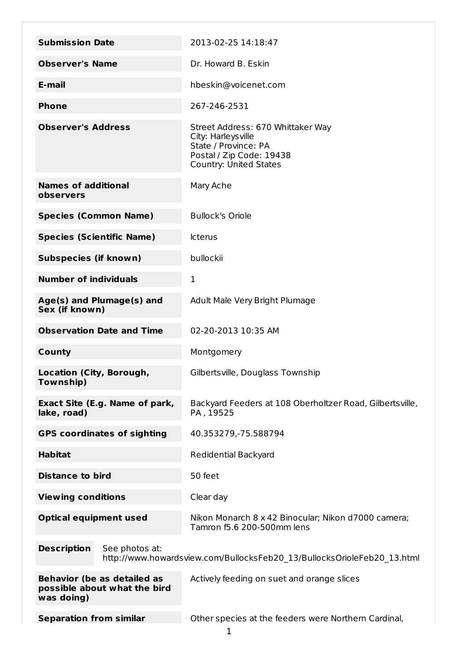| <b>Submission Date</b>                                                                                          | 2013-02-25 14:18:47                                                                                                                           |
|-----------------------------------------------------------------------------------------------------------------|-----------------------------------------------------------------------------------------------------------------------------------------------|
| <b>Observer's Name</b>                                                                                          | Dr. Howard B. Eskin                                                                                                                           |
| E-mail                                                                                                          | hbeskin@voicenet.com                                                                                                                          |
| <b>Phone</b>                                                                                                    | 267-246-2531                                                                                                                                  |
| <b>Observer's Address</b>                                                                                       | Street Address: 670 Whittaker Way<br>City: Harleys ville<br>State / Province: PA<br>Postal / Zip Code: 19438<br><b>Country: United States</b> |
| <b>Names of additional</b><br>observers                                                                         | Mary Ache                                                                                                                                     |
| <b>Species (Common Name)</b>                                                                                    | <b>Bullock's Oriole</b>                                                                                                                       |
| <b>Species (Scientific Name)</b>                                                                                | <b>Icterus</b>                                                                                                                                |
| <b>Subspecies (if known)</b>                                                                                    | bullockii                                                                                                                                     |
| <b>Number of individuals</b>                                                                                    | 1                                                                                                                                             |
| Age(s) and Plumage(s) and<br>Sex (if known)                                                                     | Adult Male Very Bright Plumage                                                                                                                |
| <b>Observation Date and Time</b>                                                                                | 02-20-2013 10:35 AM                                                                                                                           |
| <b>County</b>                                                                                                   | Montgomery                                                                                                                                    |
| Location (City, Borough,<br>Township)                                                                           | Gilbertsville, Douglass Township                                                                                                              |
| Exact Site (E.g. Name of park,<br>lake, road)                                                                   | Backyard Feeders at 108 Oberholtzer Road, Gilbertsville,<br>PA, 19525                                                                         |
| <b>GPS coordinates of sighting</b>                                                                              | 40.353279, - 75.588794                                                                                                                        |
| <b>Habitat</b>                                                                                                  | <b>Redidential Backyard</b>                                                                                                                   |
| <b>Distance to bird</b>                                                                                         | 50 feet                                                                                                                                       |
| <b>Viewing conditions</b>                                                                                       | Clear day                                                                                                                                     |
| <b>Optical equipment used</b>                                                                                   | Nikon Monarch 8 x 42 Binocular; Nikon d7000 camera;<br>Tamron f5.6 200-500mm lens                                                             |
| <b>Description</b><br>See photos at:<br>http://www.howardsview.com/BullocksFeb20_13/BullocksOrioleFeb20_13.html |                                                                                                                                               |
| <b>Behavior (be as detailed as</b><br>possible about what the bird<br>was doing)                                | Actively feeding on suet and orange slices                                                                                                    |
| <b>Separation from similar</b>                                                                                  | Other species at the feeders were Northern Cardinal,                                                                                          |